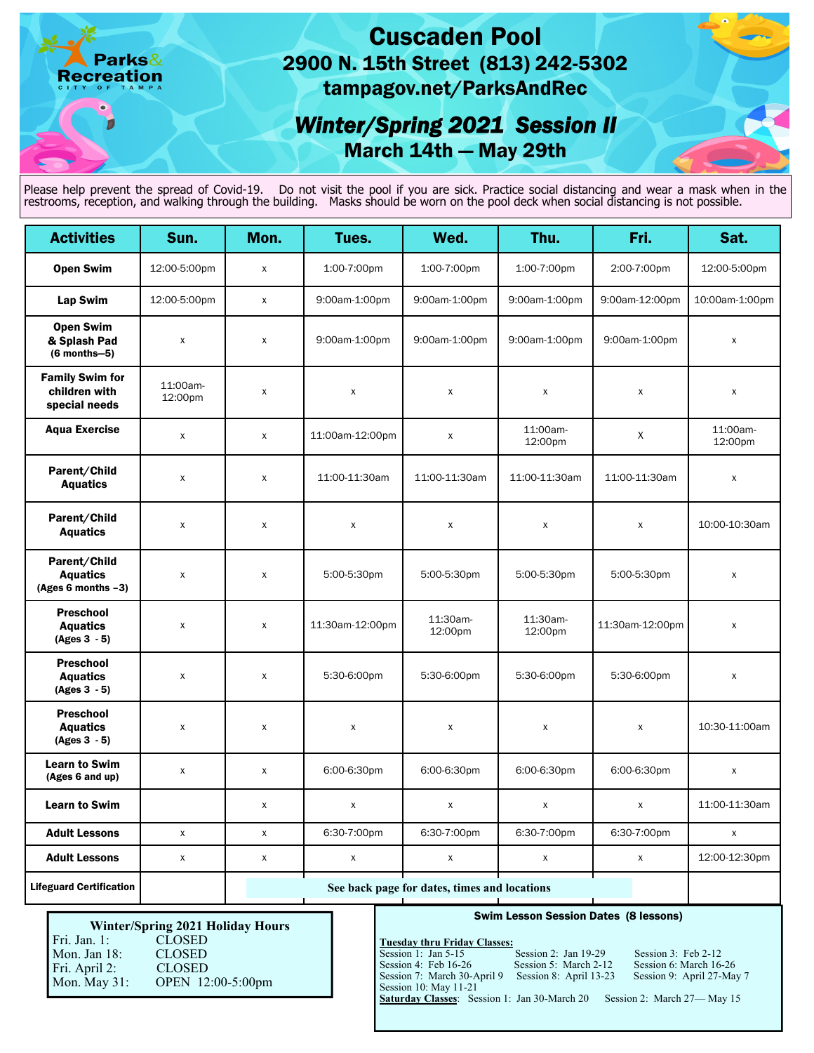## Cuscaden Pool 2900 N. 15th Street (813) 242-5302 tampagov.net/ParksAndRec

# *Winter/Spring 2021 Session II*  March 14th — May 29th

Please help prevent the spread of Covid-19. Do not visit the pool if you are sick. Practice social distancing and wear a mask when in the restrooms, reception, and walking through the building. Masks should be worn on the pool deck when social distancing is not possible.

| <b>Activities</b>                                        | Sun.                | Mon.                                         | Tues.              | Wed.                | Thu.                | Fri.               | Sat.                |
|----------------------------------------------------------|---------------------|----------------------------------------------|--------------------|---------------------|---------------------|--------------------|---------------------|
| <b>Open Swim</b>                                         | 12:00-5:00pm        | X                                            | 1:00-7:00pm        | 1:00-7:00pm         | 1:00-7:00pm         | 2:00-7:00pm        | 12:00-5:00pm        |
| <b>Lap Swim</b>                                          | 12:00-5:00pm        | $\mathsf{x}$                                 | 9:00am-1:00pm      | 9:00am-1:00pm       | 9:00am-1:00pm       | 9:00am-12:00pm     | 10:00am-1:00pm      |
| <b>Open Swim</b><br>& Splash Pad<br>$(6$ months-5)       | X                   | X                                            | 9:00am-1:00pm      | 9:00am-1:00pm       | 9:00am-1:00pm       | 9:00am-1:00pm      | $\pmb{\times}$      |
| <b>Family Swim for</b><br>children with<br>special needs | 11:00am-<br>12:00pm | X                                            | $\pmb{\mathsf{X}}$ | X                   | X                   | $\pmb{\mathsf{X}}$ | $\pmb{\mathsf{X}}$  |
| <b>Aqua Exercise</b>                                     | $\pmb{\mathsf{X}}$  | X                                            | 11:00am-12:00pm    | $\pmb{\mathsf{X}}$  | 11:00am-<br>12:00pm | X                  | 11:00am-<br>12:00pm |
| Parent/Child<br><b>Aquatics</b>                          | X                   | X                                            | 11:00-11:30am      | 11:00-11:30am       | 11:00-11:30am       | 11:00-11:30am      | $\pmb{\mathsf{x}}$  |
| Parent/Child<br><b>Aquatics</b>                          | X                   | X                                            | X                  | X                   | $\mathsf{x}$        | X                  | 10:00-10:30am       |
| Parent/Child<br><b>Aquatics</b><br>(Ages 6 months $-3$ ) | X                   | X                                            | 5:00-5:30pm        | 5:00-5:30pm         | 5:00-5:30pm         | 5:00-5:30pm        | $\pmb{\mathsf{X}}$  |
| <b>Preschool</b><br><b>Aquatics</b><br>$(Ages 3 - 5)$    | X                   | X                                            | 11:30am-12:00pm    | 11:30am-<br>12:00pm | 11:30am-<br>12:00pm | 11:30am-12:00pm    | $\pmb{\times}$      |
| <b>Preschool</b><br><b>Aquatics</b><br>$(Ages 3 - 5)$    | $\mathsf{X}$        | X                                            | 5:30-6:00pm        | 5:30-6:00pm         | 5:30-6:00pm         | 5:30-6:00pm        | $\pmb{\mathsf{x}}$  |
| <b>Preschool</b><br><b>Aquatics</b><br>$(Ages 3 - 5)$    | x                   | X                                            | X                  | $\pmb{\mathsf{x}}$  | X                   | $\pmb{\mathsf{X}}$ | 10:30-11:00am       |
| <b>Learn to Swim</b><br>(Ages 6 and up)                  | $\mathsf{x}$        | $\mathsf{x}$                                 | 6:00-6:30pm        | 6:00-6:30pm         | 6:00-6:30pm         | 6:00-6:30pm        | X                   |
| <b>Learn to Swim</b>                                     |                     | X                                            | X                  | $\pmb{\mathsf{X}}$  | X                   | $\pmb{\mathsf{X}}$ | 11:00-11:30am       |
| <b>Adult Lessons</b>                                     | $\pmb{\mathsf{x}}$  | X                                            | 6:30-7:00pm        | 6:30-7:00pm         | 6:30-7:00pm         | 6:30-7:00pm        | $\mathsf{x}$        |
| <b>Adult Lessons</b>                                     | $\pmb{\chi}$        | X                                            | $\pmb{\mathsf{x}}$ | $\mathsf X$         | $\pmb{\chi}$        | $\pmb{\chi}$       | 12:00-12:30pm       |
| <b>Lifeguard Certification</b>                           |                     | See back page for dates, times and locations |                    |                     |                     |                    |                     |

#### **Winter/Spring 2021 Holiday Hours**

 Mon. Jan 18: CLOSED Fri. Jan. 1: CLOSED<br>Mon. Jan 18: CLOSED Fri. April 2: CLOSED Mon. May 31: OPEN 12:00-5:00pm

arks&

**Recreation** 

 $\bullet$ 

#### Swim Lesson Session Dates (8 lessons)

#### **Tuesday thru Friday Classes:**

Session 1: Jan 5-15 Session 2: Jan 19-29 Session 3: Feb 2-12<br>Session 4: Feb 16-26 Session 5: March 2-12 Session 6: March 16-Session 7: March 30-April 9 Session 8: April 13-23 Session 9: April 27-May 7 Session 10: May 11-21

Session 6: March 16-26<br>Session 9: April 27-May 7

Saturday Classes: Session 1: Jan 30-March 20 Session 2: March 27-May 15